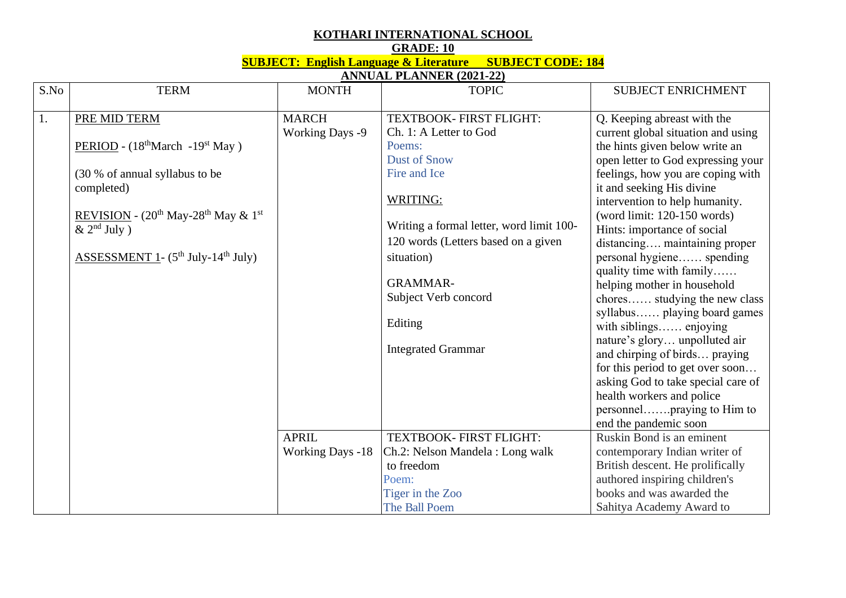## **KOTHARI INTERNATIONAL SCHOOL**

**GRADE: 10**

**SUBJECT: English Language & Literature SUBJECT CODE: 184**

**ANNUAL PLANNER (2021-22)**

| S.No | <b>TERM</b>                                                           | <b>MONTH</b>            | <b>TOPIC</b>                             | <b>SUBJECT ENRICHMENT</b>          |
|------|-----------------------------------------------------------------------|-------------------------|------------------------------------------|------------------------------------|
|      |                                                                       |                         |                                          |                                    |
| 1.   | PRE MID TERM                                                          | <b>MARCH</b>            | TEXTBOOK- FIRST FLIGHT:                  | Q. Keeping abreast with the        |
|      |                                                                       | <b>Working Days -9</b>  | Ch. 1: A Letter to God                   | current global situation and using |
|      | PERIOD - $(18^{\text{th}} \text{March} - 19^{\text{st}} \text{ May})$ |                         | Poems:                                   | the hints given below write an     |
|      |                                                                       |                         | <b>Dust of Snow</b>                      | open letter to God expressing your |
|      | (30 % of annual syllabus to be                                        |                         | Fire and Ice                             | feelings, how you are coping with  |
|      | completed)                                                            |                         |                                          | it and seeking His divine          |
|      |                                                                       |                         | WRITING:                                 | intervention to help humanity.     |
|      | REVISION - $(20^{th}$ May-28 <sup>th</sup> May & 1 <sup>st</sup>      |                         |                                          | (word limit: $120-150$ words)      |
|      | $\&$ 2 <sup>nd</sup> July)                                            |                         | Writing a formal letter, word limit 100- | Hints: importance of social        |
|      |                                                                       |                         | 120 words (Letters based on a given      | distancing maintaining proper      |
|      | <b>ASSESSMENT 1- (5<sup>th</sup> July-14<sup>th</sup> July)</b>       |                         | situation)                               | personal hygiene spending          |
|      |                                                                       |                         |                                          | quality time with family           |
|      |                                                                       |                         | <b>GRAMMAR-</b>                          | helping mother in household        |
|      |                                                                       |                         | Subject Verb concord                     | chores studying the new class      |
|      |                                                                       |                         |                                          | syllabus playing board games       |
|      |                                                                       |                         | Editing                                  | with siblings enjoying             |
|      |                                                                       |                         |                                          | nature's glory unpolluted air      |
|      |                                                                       |                         | <b>Integrated Grammar</b>                | and chirping of birds praying      |
|      |                                                                       |                         |                                          | for this period to get over soon   |
|      |                                                                       |                         |                                          | asking God to take special care of |
|      |                                                                       |                         |                                          | health workers and police          |
|      |                                                                       |                         |                                          | personnelpraying to Him to         |
|      |                                                                       |                         |                                          | end the pandemic soon              |
|      |                                                                       | <b>APRIL</b>            | <b>TEXTBOOK- FIRST FLIGHT:</b>           | Ruskin Bond is an eminent          |
|      |                                                                       | <b>Working Days -18</b> | Ch.2: Nelson Mandela : Long walk         | contemporary Indian writer of      |
|      |                                                                       |                         | to freedom                               | British descent. He prolifically   |
|      |                                                                       |                         | Poem:                                    | authored inspiring children's      |
|      |                                                                       |                         | Tiger in the Zoo                         | books and was awarded the          |
|      |                                                                       |                         | The Ball Poem                            | Sahitya Academy Award to           |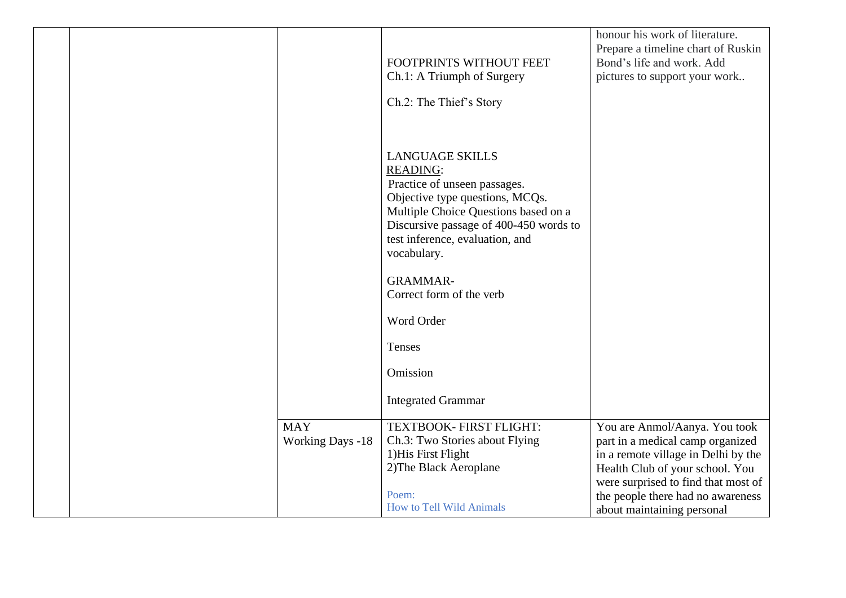|  |                         |                                                                                                                                                                                                                                                  | honour his work of literature.<br>Prepare a timeline chart of Ruskin |
|--|-------------------------|--------------------------------------------------------------------------------------------------------------------------------------------------------------------------------------------------------------------------------------------------|----------------------------------------------------------------------|
|  |                         | FOOTPRINTS WITHOUT FEET                                                                                                                                                                                                                          | Bond's life and work. Add                                            |
|  |                         | Ch.1: A Triumph of Surgery                                                                                                                                                                                                                       | pictures to support your work                                        |
|  |                         | Ch.2: The Thief's Story                                                                                                                                                                                                                          |                                                                      |
|  |                         | <b>LANGUAGE SKILLS</b><br><b>READING:</b><br>Practice of unseen passages.<br>Objective type questions, MCQs.<br>Multiple Choice Questions based on a<br>Discursive passage of 400-450 words to<br>test inference, evaluation, and<br>vocabulary. |                                                                      |
|  |                         | <b>GRAMMAR-</b><br>Correct form of the verb                                                                                                                                                                                                      |                                                                      |
|  |                         | Word Order                                                                                                                                                                                                                                       |                                                                      |
|  |                         | Tenses                                                                                                                                                                                                                                           |                                                                      |
|  |                         | Omission                                                                                                                                                                                                                                         |                                                                      |
|  |                         | <b>Integrated Grammar</b>                                                                                                                                                                                                                        |                                                                      |
|  | <b>MAY</b>              | TEXTBOOK- FIRST FLIGHT:                                                                                                                                                                                                                          | You are Anmol/Aanya. You took                                        |
|  | <b>Working Days -18</b> | Ch.3: Two Stories about Flying                                                                                                                                                                                                                   | part in a medical camp organized                                     |
|  |                         | 1) His First Flight                                                                                                                                                                                                                              | in a remote village in Delhi by the                                  |
|  |                         | 2) The Black Aeroplane                                                                                                                                                                                                                           | Health Club of your school. You                                      |
|  |                         |                                                                                                                                                                                                                                                  | were surprised to find that most of                                  |
|  |                         | Poem:                                                                                                                                                                                                                                            | the people there had no awareness                                    |
|  |                         | How to Tell Wild Animals                                                                                                                                                                                                                         | about maintaining personal                                           |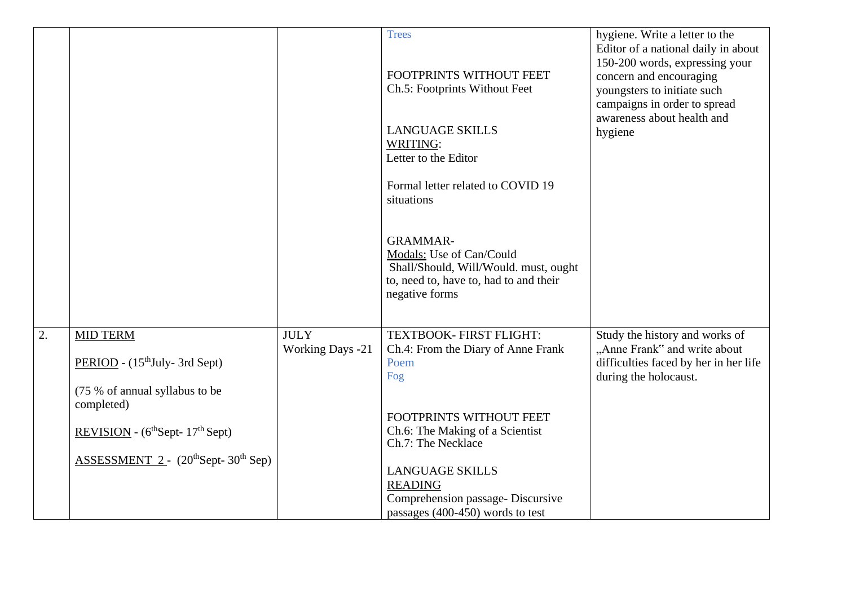|    |                                                                                                 |                                        | <b>Trees</b><br>FOOTPRINTS WITHOUT FEET<br>Ch.5: Footprints Without Feet<br><b>LANGUAGE SKILLS</b><br>WRITING:<br>Letter to the Editor<br>Formal letter related to COVID 19<br>situations | hygiene. Write a letter to the<br>Editor of a national daily in about<br>150-200 words, expressing your<br>concern and encouraging<br>youngsters to initiate such<br>campaigns in order to spread<br>awareness about health and<br>hygiene |
|----|-------------------------------------------------------------------------------------------------|----------------------------------------|-------------------------------------------------------------------------------------------------------------------------------------------------------------------------------------------|--------------------------------------------------------------------------------------------------------------------------------------------------------------------------------------------------------------------------------------------|
|    |                                                                                                 |                                        | <b>GRAMMAR-</b><br>Modals: Use of Can/Could<br>Shall/Should, Will/Would. must, ought<br>to, need to, have to, had to and their<br>negative forms                                          |                                                                                                                                                                                                                                            |
| 2. | <b>MID TERM</b><br>PERIOD - (15 <sup>th</sup> July- 3rd Sept)<br>(75 % of annual syllabus to be | <b>JULY</b><br><b>Working Days -21</b> | TEXTBOOK- FIRST FLIGHT:<br>Ch.4: From the Diary of Anne Frank<br>Poem<br>Fog                                                                                                              | Study the history and works of<br>"Anne Frank" and write about<br>difficulties faced by her in her life<br>during the holocaust.                                                                                                           |
|    | completed)<br>REVISION - $(6thSept-17th Sept)$                                                  |                                        | FOOTPRINTS WITHOUT FEET<br>Ch.6: The Making of a Scientist<br>Ch.7: The Necklace                                                                                                          |                                                                                                                                                                                                                                            |
|    | $ASSESSMENT$ 2 - (20 <sup>th</sup> Sept-30 <sup>th</sup> Sep)                                   |                                        | <b>LANGUAGE SKILLS</b><br><b>READING</b><br>Comprehension passage- Discursive<br>passages (400-450) words to test                                                                         |                                                                                                                                                                                                                                            |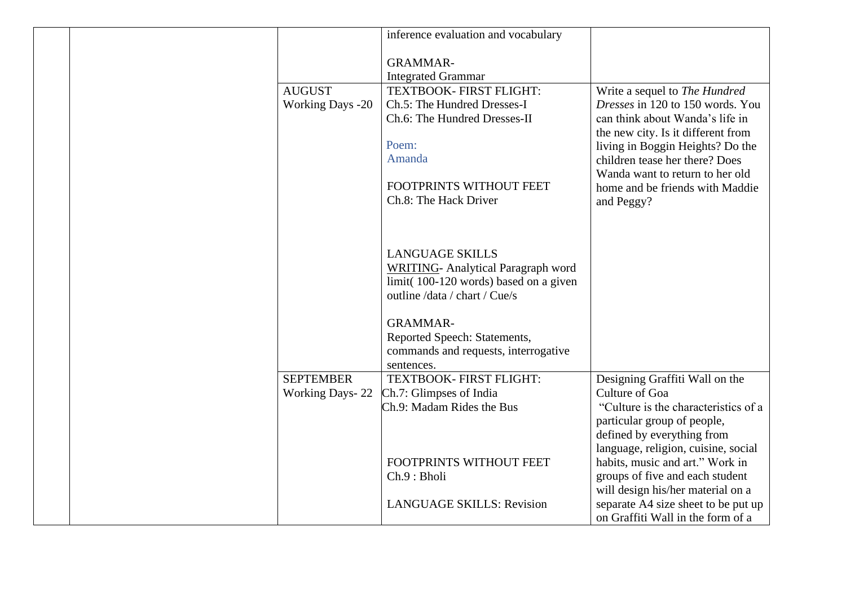|  |                                          | inference evaluation and vocabulary                    |                                                                          |
|--|------------------------------------------|--------------------------------------------------------|--------------------------------------------------------------------------|
|  |                                          | <b>GRAMMAR-</b>                                        |                                                                          |
|  |                                          | <b>Integrated Grammar</b>                              |                                                                          |
|  | <b>AUGUST</b><br><b>Working Days -20</b> | TEXTBOOK- FIRST FLIGHT:<br>Ch.5: The Hundred Dresses-I | Write a sequel to The Hundred<br><i>Dresses</i> in 120 to 150 words. You |
|  |                                          | Ch.6: The Hundred Dresses-II                           | can think about Wanda's life in<br>the new city. Is it different from    |
|  |                                          | Poem:                                                  | living in Boggin Heights? Do the                                         |
|  |                                          | Amanda                                                 | children tease her there? Does<br>Wanda want to return to her old        |
|  |                                          | FOOTPRINTS WITHOUT FEET                                | home and be friends with Maddie                                          |
|  |                                          | Ch.8: The Hack Driver                                  | and Peggy?                                                               |
|  |                                          |                                                        |                                                                          |
|  |                                          |                                                        |                                                                          |
|  |                                          | <b>LANGUAGE SKILLS</b>                                 |                                                                          |
|  |                                          | <b>WRITING-</b> Analytical Paragraph word              |                                                                          |
|  |                                          | limit(100-120 words) based on a given                  |                                                                          |
|  |                                          | outline /data / chart / Cue/s                          |                                                                          |
|  |                                          | <b>GRAMMAR-</b>                                        |                                                                          |
|  |                                          | Reported Speech: Statements,                           |                                                                          |
|  |                                          | commands and requests, interrogative                   |                                                                          |
|  |                                          | sentences.                                             |                                                                          |
|  | <b>SEPTEMBER</b>                         | TEXTBOOK- FIRST FLIGHT:                                | Designing Graffiti Wall on the                                           |
|  | <b>Working Days-22</b>                   | Ch.7: Glimpses of India                                | Culture of Goa                                                           |
|  |                                          | Ch.9: Madam Rides the Bus                              | "Culture is the characteristics of a                                     |
|  |                                          |                                                        | particular group of people,                                              |
|  |                                          |                                                        | defined by everything from                                               |
|  |                                          |                                                        | language, religion, cuisine, social                                      |
|  |                                          | FOOTPRINTS WITHOUT FEET                                | habits, music and art." Work in                                          |
|  |                                          | Ch.9 : Bholi                                           | groups of five and each student                                          |
|  |                                          |                                                        | will design his/her material on a                                        |
|  |                                          | <b>LANGUAGE SKILLS: Revision</b>                       | separate A4 size sheet to be put up                                      |
|  |                                          |                                                        | on Graffiti Wall in the form of a                                        |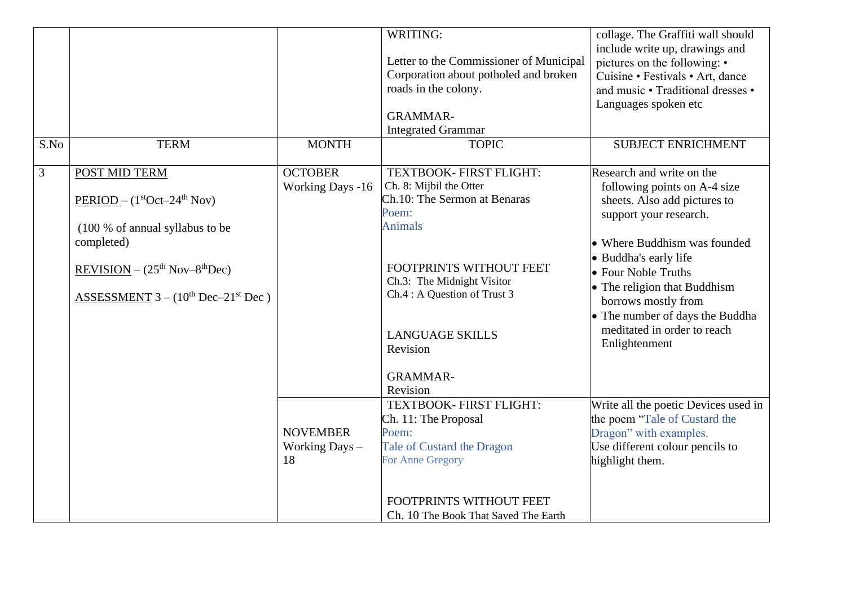|                |                                                                                                                                                                                                            |                                           | WRITING:<br>Letter to the Commissioner of Municipal<br>Corporation about potholed and broken<br>roads in the colony.<br><b>GRAMMAR-</b><br><b>Integrated Grammar</b>                                                                                                        | collage. The Graffiti wall should<br>include write up, drawings and<br>pictures on the following: •<br>Cuisine • Festivals • Art, dance<br>and music • Traditional dresses •<br>Languages spoken etc                                                                                                                                          |
|----------------|------------------------------------------------------------------------------------------------------------------------------------------------------------------------------------------------------------|-------------------------------------------|-----------------------------------------------------------------------------------------------------------------------------------------------------------------------------------------------------------------------------------------------------------------------------|-----------------------------------------------------------------------------------------------------------------------------------------------------------------------------------------------------------------------------------------------------------------------------------------------------------------------------------------------|
| S.No           | <b>TERM</b>                                                                                                                                                                                                | <b>MONTH</b>                              | <b>TOPIC</b>                                                                                                                                                                                                                                                                | <b>SUBJECT ENRICHMENT</b>                                                                                                                                                                                                                                                                                                                     |
| $\mathfrak{Z}$ | POST MID TERM<br>$PERIOD - (1stOct-24th Nov)$<br>(100 % of annual syllabus to be<br>completed)<br>REVISION $-$ (25 <sup>th</sup> Nov-8 <sup>th</sup> Dec)<br>ASSESSMENT $3 - (10^{th}$ Dec $-21^{st}$ Dec) | <b>OCTOBER</b><br><b>Working Days -16</b> | TEXTBOOK- FIRST FLIGHT:<br>Ch. 8: Mijbil the Otter<br>Ch.10: The Sermon at Benaras<br>Poem:<br><b>Animals</b><br>FOOTPRINTS WITHOUT FEET<br>Ch.3: The Midnight Visitor<br>Ch.4 : A Question of Trust 3<br><b>LANGUAGE SKILLS</b><br>Revision<br><b>GRAMMAR-</b><br>Revision | Research and write on the<br>following points on A-4 size<br>sheets. Also add pictures to<br>support your research.<br>• Where Buddhism was founded<br>• Buddha's early life<br>• Four Noble Truths<br>• The religion that Buddhism<br>borrows mostly from<br>• The number of days the Buddha<br>meditated in order to reach<br>Enlightenment |
|                |                                                                                                                                                                                                            | <b>NOVEMBER</b><br>Working Days -<br>18   | TEXTBOOK- FIRST FLIGHT:<br>Ch. 11: The Proposal<br>Poem:<br>Tale of Custard the Dragon<br>For Anne Gregory<br>FOOTPRINTS WITHOUT FEET<br>Ch. 10 The Book That Saved The Earth                                                                                               | Write all the poetic Devices used in<br>the poem "Tale of Custard the<br>Dragon" with examples.<br>Use different colour pencils to<br>highlight them.                                                                                                                                                                                         |